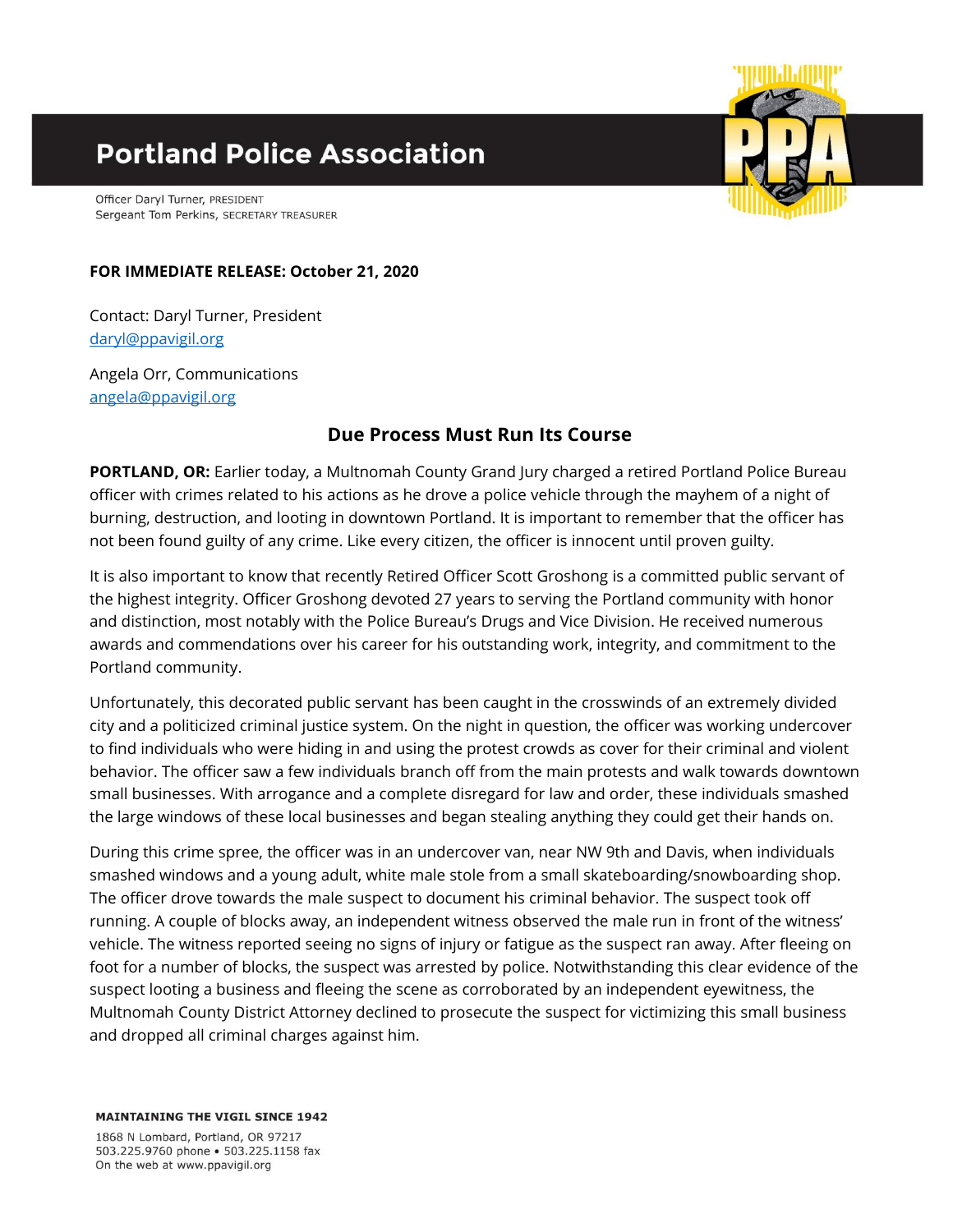## **Portland Police Association**

Officer Daryl Turner, PRESIDENT Sergeant Tom Perkins, SECRETARY TREASURER



## **FOR IMMEDIATE RELEASE: October 21, 2020**

Contact: Daryl Turner, President [daryl@ppavigil.org](mailto:daryl@ppavigil.org)

Angela Orr, Communications [angela@ppavigil.org](mailto:angela@ppavigil.org)

## **Due Process Must Run Its Course**

**PORTLAND, OR:** Earlier today, a Multnomah County Grand Jury charged a retired Portland Police Bureau officer with crimes related to his actions as he drove a police vehicle through the mayhem of a night of burning, destruction, and looting in downtown Portland. It is important to remember that the officer has not been found guilty of any crime. Like every citizen, the officer is innocent until proven guilty.

It is also important to know that recently Retired Officer Scott Groshong is a committed public servant of the highest integrity. Officer Groshong devoted 27 years to serving the Portland community with honor and distinction, most notably with the Police Bureau's Drugs and Vice Division. He received numerous awards and commendations over his career for his outstanding work, integrity, and commitment to the Portland community.

Unfortunately, this decorated public servant has been caught in the crosswinds of an extremely divided city and a politicized criminal justice system. On the night in question, the officer was working undercover to find individuals who were hiding in and using the protest crowds as cover for their criminal and violent behavior. The officer saw a few individuals branch off from the main protests and walk towards downtown small businesses. With arrogance and a complete disregard for law and order, these individuals smashed the large windows of these local businesses and began stealing anything they could get their hands on.

During this crime spree, the officer was in an undercover van, near NW 9th and Davis, when individuals smashed windows and a young adult, white male stole from a small skateboarding/snowboarding shop. The officer drove towards the male suspect to document his criminal behavior. The suspect took off running. A couple of blocks away, an independent witness observed the male run in front of the witness' vehicle. The witness reported seeing no signs of injury or fatigue as the suspect ran away. After fleeing on foot for a number of blocks, the suspect was arrested by police. Notwithstanding this clear evidence of the suspect looting a business and fleeing the scene as corroborated by an independent eyewitness, the Multnomah County District Attorney declined to prosecute the suspect for victimizing this small business and dropped all criminal charges against him.

**MAINTAINING THE VIGIL SINCE 1942** 

1868 N Lombard, Portland, OR 97217 503.225.9760 phone . 503.225.1158 fax On the web at www.ppavigil.org